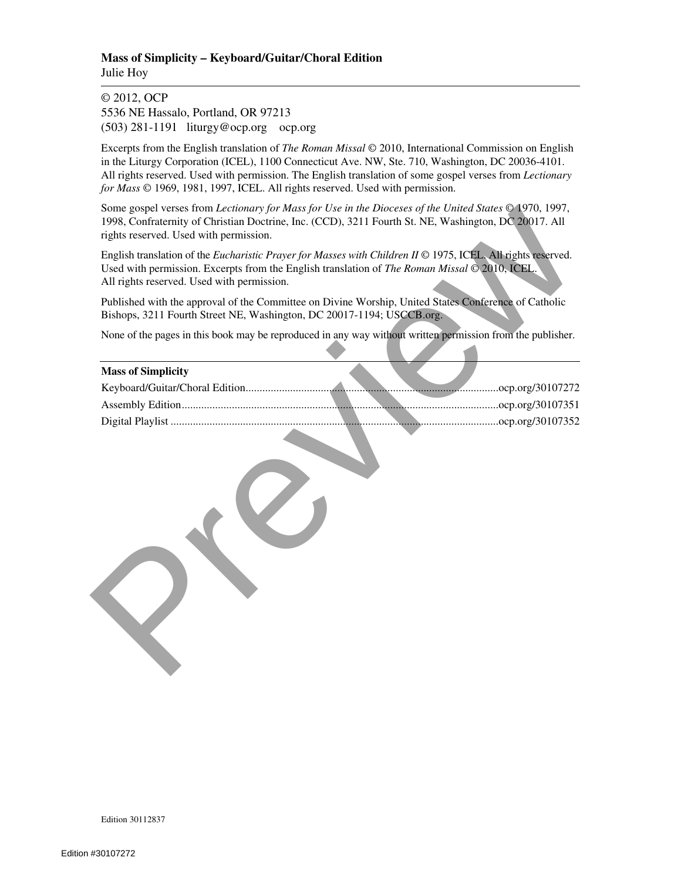#### **Mass of Simplicity – Keyboard/Guitar/Choral Edition** Julie Hoy

© 2012, OCP 5536 NE Hassalo, Portland, OR 97213 (503) 281-1191 liturgy@ocp.org ocp.org

Excerpts from the English translation of *The Roman Missal* © 2010, International Commission on English in the Liturgy Corporation (ICEL), 1100 Connecticut Ave. NW, Ste. 710, Washington, DC 20036-4101. All rights reserved. Used with permission. The English translation of some gospel verses from *Lectionary for Mass* © 1969, 1981, 1997, ICEL. All rights reserved. Used with permission.

Some gospel verses from *Lectionary for Mass for Use in the Dioceses of the United States* © 1970, 1997, 1998, Confraternity of Christian Doctrine, Inc. (CCD), 3211 Fourth St. NE, Washington, DC 20017. All rights reserved. Used with permission.

| Some gospel verses from <i>Lectionary for Mass for Use in the Dioceses of the United States</i> © 1970, 1997,<br>1998, Confraternity of Christian Doctrine, Inc. (CCD), 3211 Fourth St. NE, Washington, DC 20017. All<br>rights reserved. Used with permission.           |  |
|---------------------------------------------------------------------------------------------------------------------------------------------------------------------------------------------------------------------------------------------------------------------------|--|
| English translation of the <i>Eucharistic Prayer for Masses with Children II</i> © 1975, ICEL. All rights reserved.<br>Used with permission. Excerpts from the English translation of <i>The Roman Missal</i> © 2010, ICEL.<br>All rights reserved. Used with permission. |  |
| Published with the approval of the Committee on Divine Worship, United States Conference of Catholic<br>Bishops, 3211 Fourth Street NE, Washington, DC 20017-1194; USCCB.org.                                                                                             |  |
| None of the pages in this book may be reproduced in any way without written permission from the publisher.                                                                                                                                                                |  |
| <b>Mass of Simplicity</b>                                                                                                                                                                                                                                                 |  |
|                                                                                                                                                                                                                                                                           |  |
|                                                                                                                                                                                                                                                                           |  |
|                                                                                                                                                                                                                                                                           |  |
| V                                                                                                                                                                                                                                                                         |  |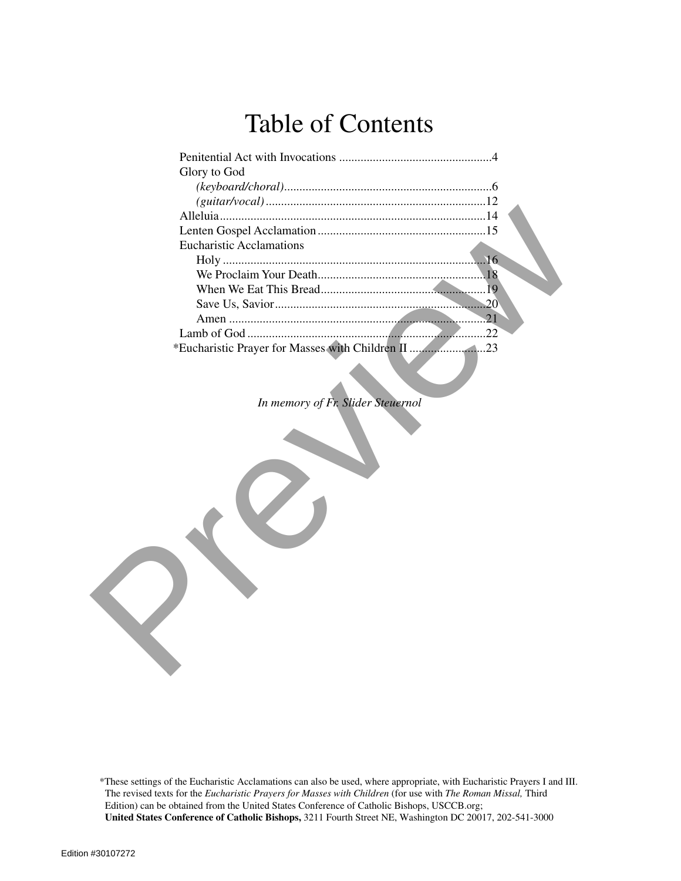# Table of Contents

| Glory to God                                       |  |
|----------------------------------------------------|--|
|                                                    |  |
|                                                    |  |
|                                                    |  |
|                                                    |  |
| <b>Eucharistic Acclamations</b>                    |  |
|                                                    |  |
|                                                    |  |
|                                                    |  |
|                                                    |  |
|                                                    |  |
|                                                    |  |
| *Eucharistic Prayer for Masses with Children II 23 |  |
| In memory of Fr. Slider Steuernol                  |  |

\*These settings of the Eucharistic Acclamations can also be used, where appropriate, with Eucharistic Prayers I and III. The revised texts for the *Eucharistic Prayers for Masses with Children* (for use with *The Roman Missal,* Third Edition) can be obtained from the United States Conference of Catholic Bishops, USCCB.org; **United States Conference of Catholic Bishops,** 3211 Fourth Street NE, Washington DC 20017, 202-541-3000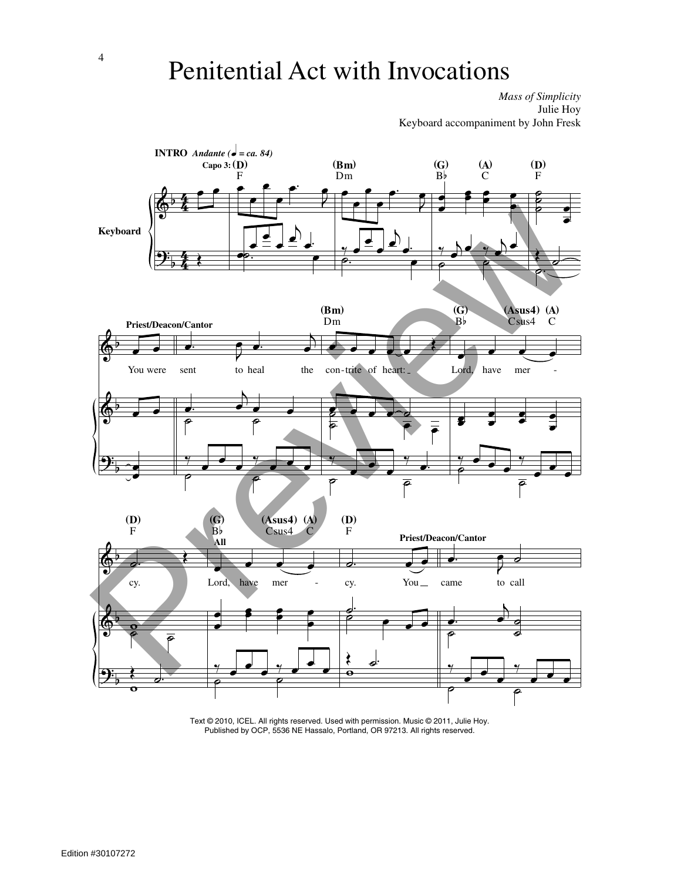# Penitential Act with Invocations

*Mass of Simplicity* Julie Hoy Keyboard accompaniment by John Fresk



Text © 2010, ICEL. All rights reserved. Used with permission. Music © 2011, Julie Hoy.<br>Published by OCP, 5536 NE Hassalo, Portland, OR 97213. All rights reserved.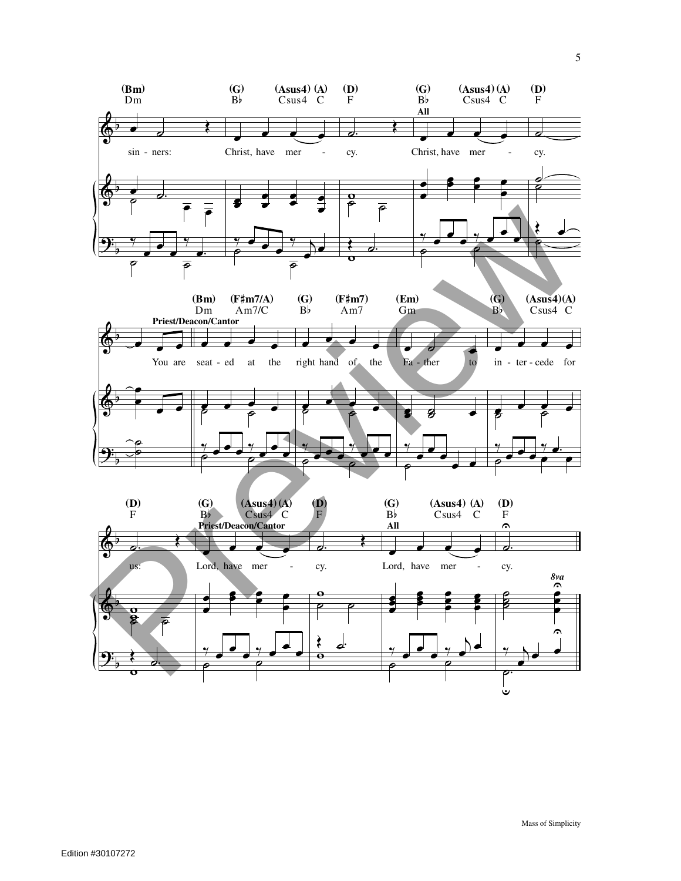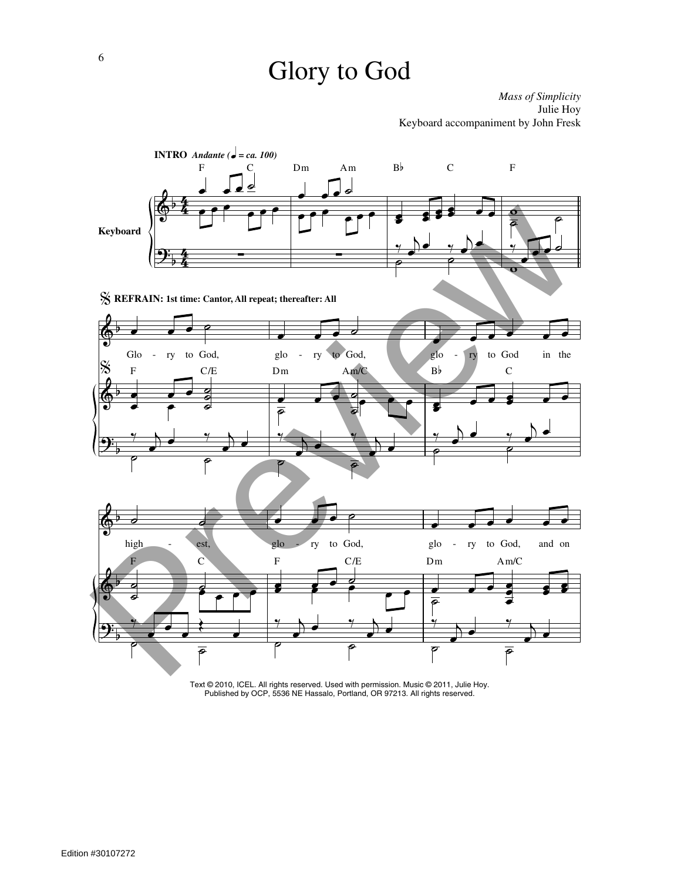## Glory to God

*Mass of Simplicity* Julie Hoy Keyboard accompaniment by John Fresk



Text © 2010, ICEL. All rights reserved. Used with permission. Music © 2011, Julie Hoy.<br>Published by OCP, 5536 NE Hassalo, Portland, OR 97213. All rights reserved.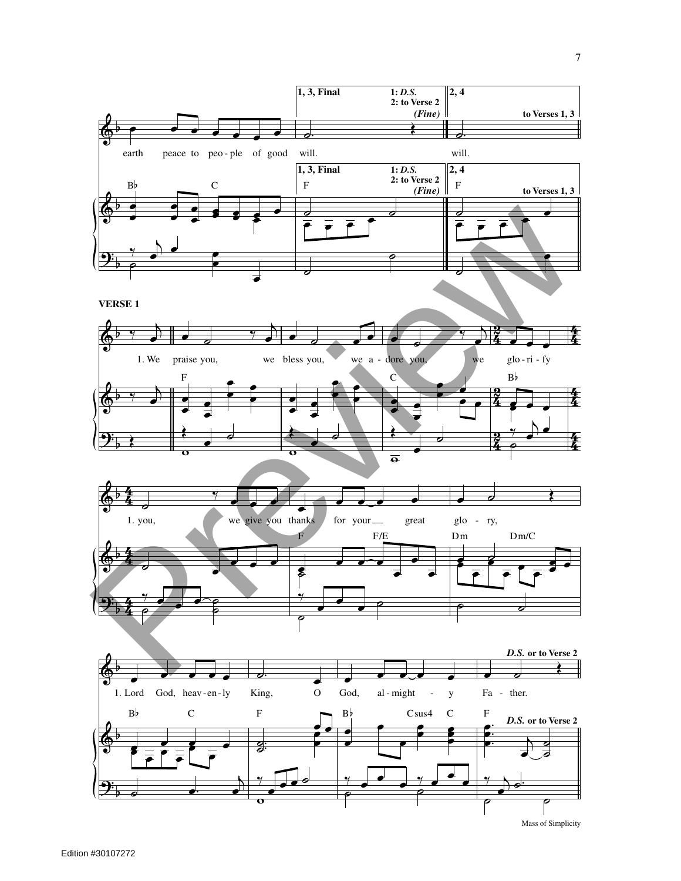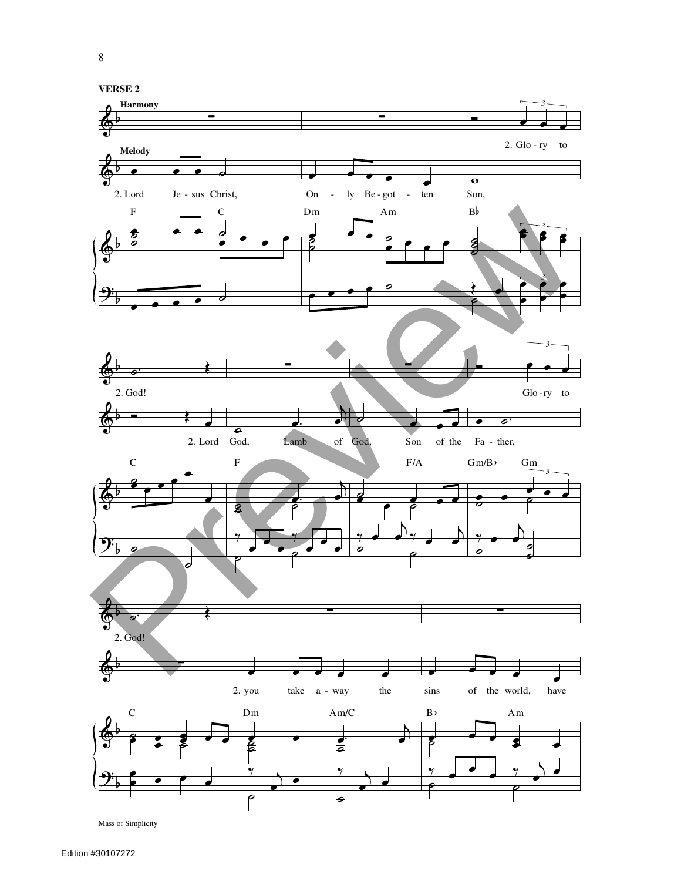

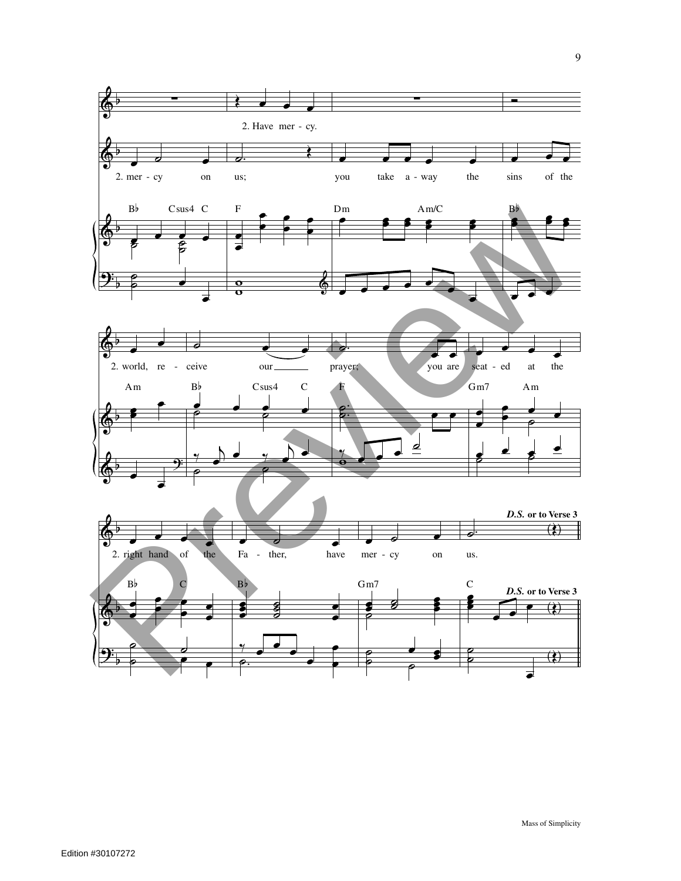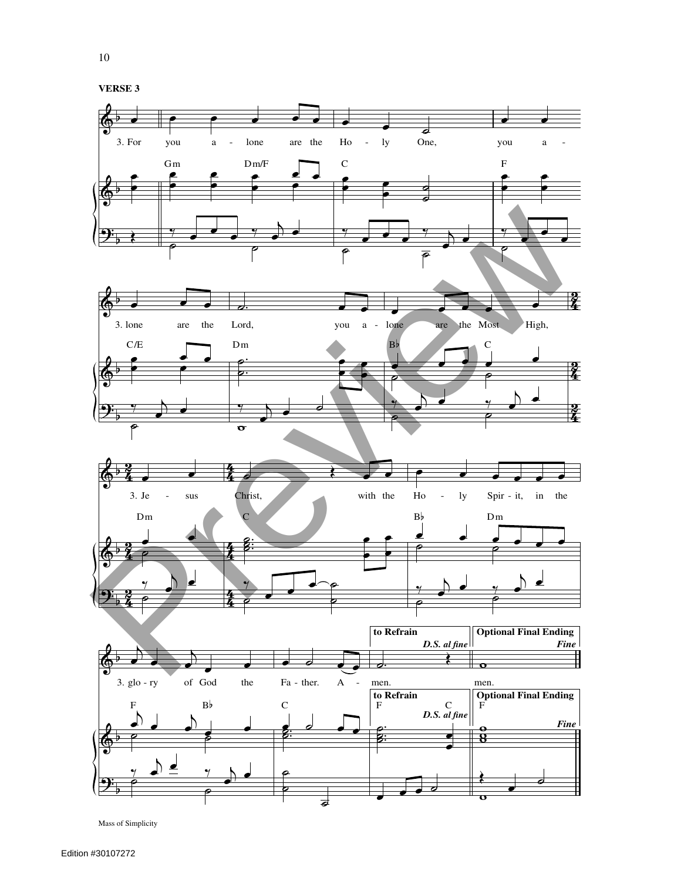

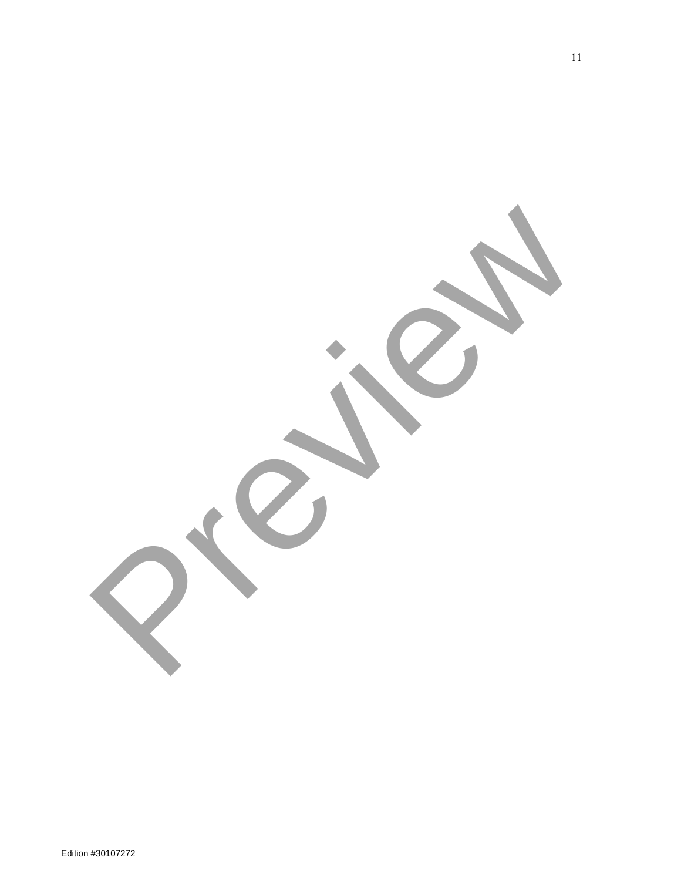Previews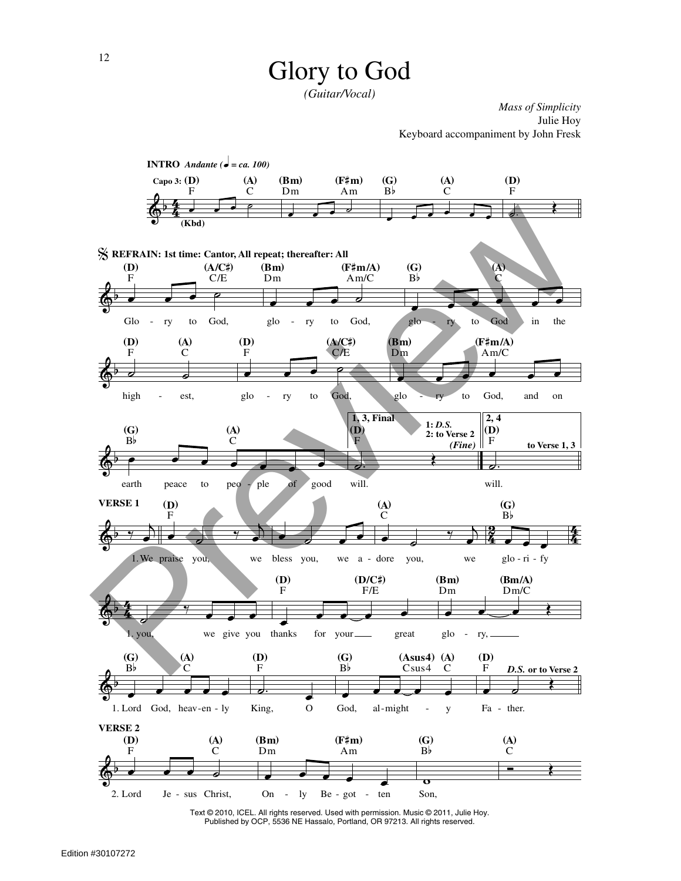#### Glory to God

*(Guitar/Vocal)*

*Mass of Simplicity* Julie Hoy Keyboard accompaniment by John Fresk



Text © 2010, ICEL. All rights reserved. Used with permission. Music © 2011, Julie Hoy. Published by OCP, 5536 NE Hassalo, Portland, OR 97213. All rights reserved.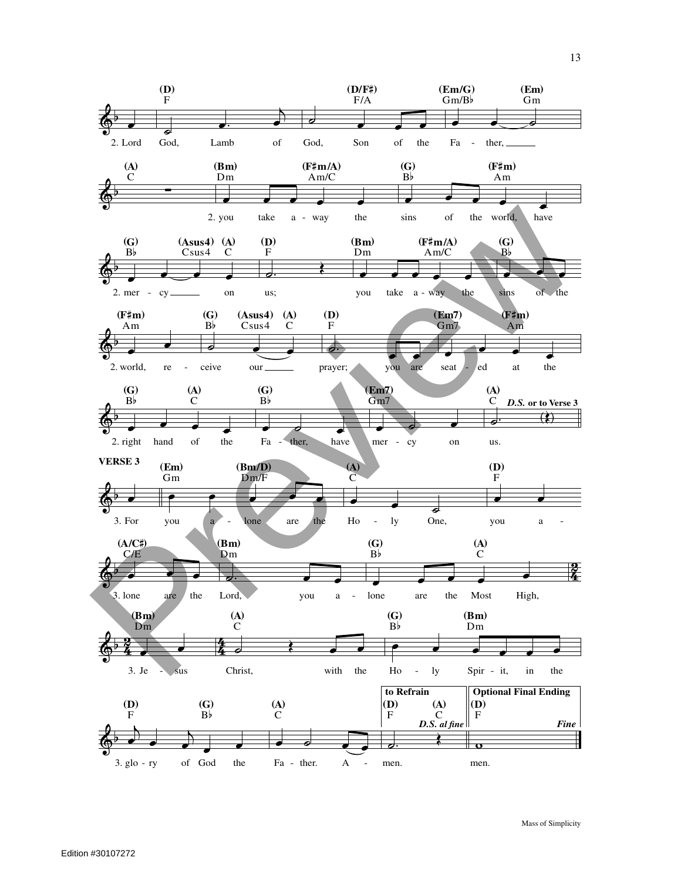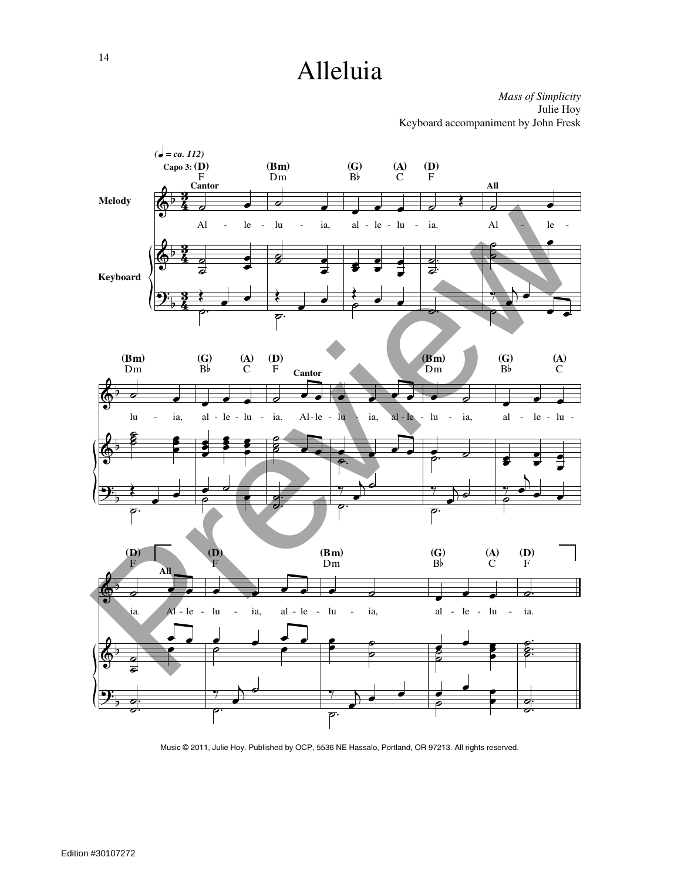# Alleluia

*Mass of Simplicity* Julie Hoy Keyboard accompaniment by John Fresk



Music © 2011, Julie Hoy. Published by OCP, 5536 NE Hassalo, Portland, OR 97213. All rights reserved.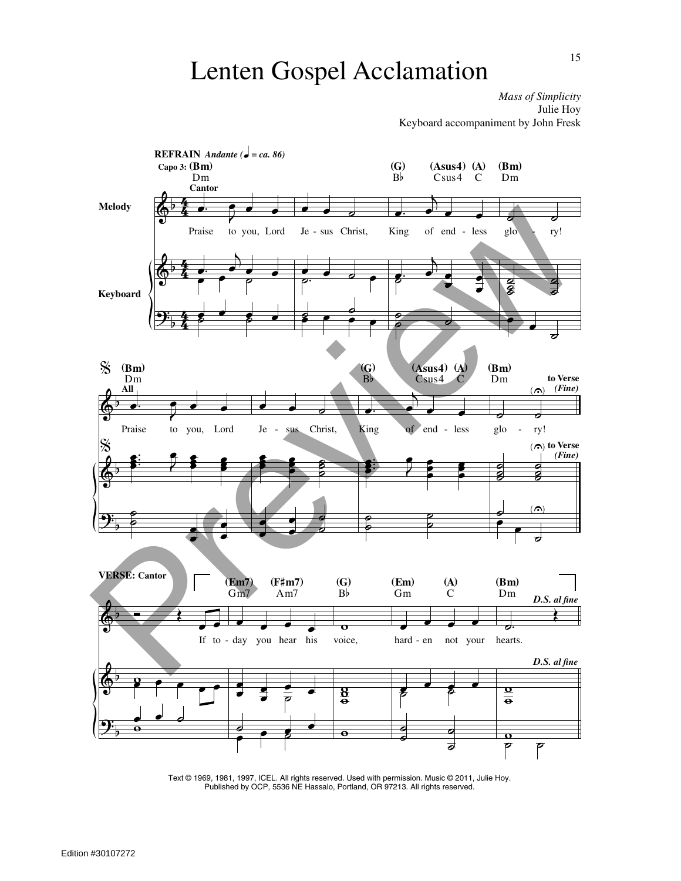# Lenten Gospel Acclamation

*Mass of Simplicity* Julie Hoy Keyboard accompaniment by John Fresk



Text © 1969, 1981, 1997, ICEL. All rights reserved. Used with permission. Music © 2011, Julie Hoy. Published by OCP, 5536 NE Hassalo, Portland, OR 97213. All rights reserved.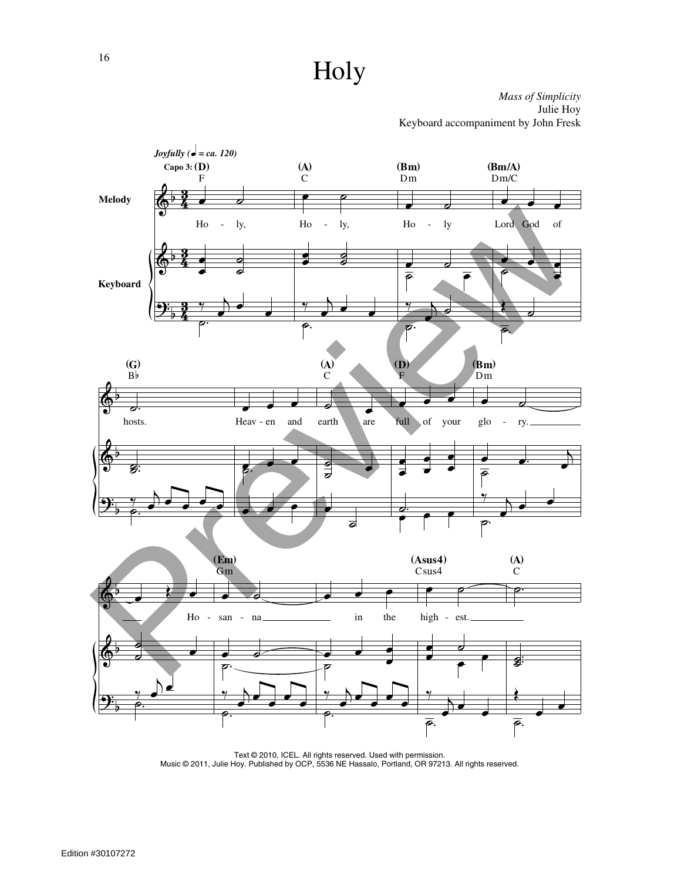*Mass of Simplicity* Julie Hoy Keyboard accompaniment by John Fresk



Text © 2010, ICEL. All rights reserved. Used with permission. Music © 2011, Julie Hoy. Published by OCP, 5536 NE Hassalo, Portland, OR 97213. All rights reserved.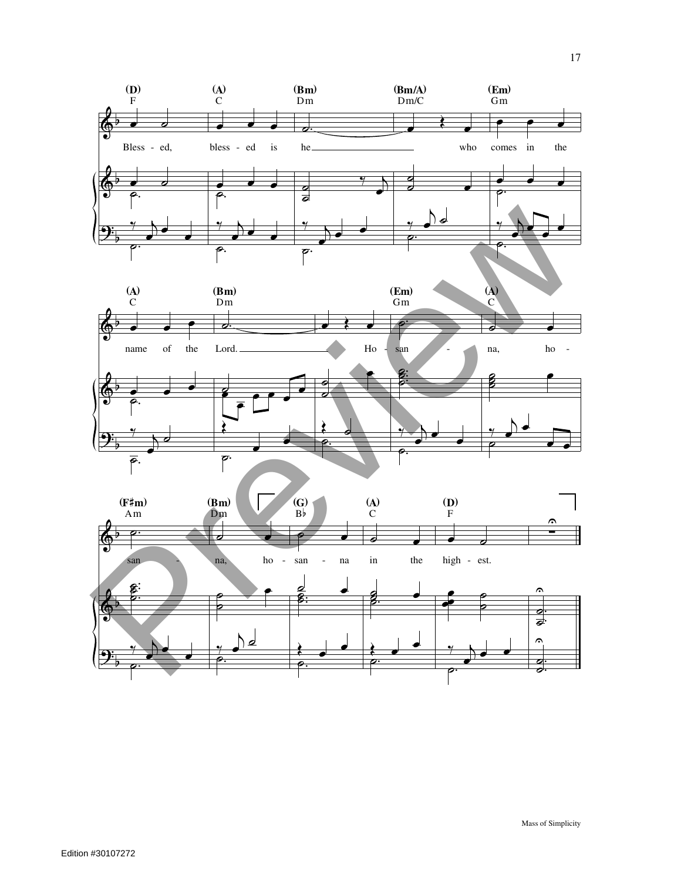





17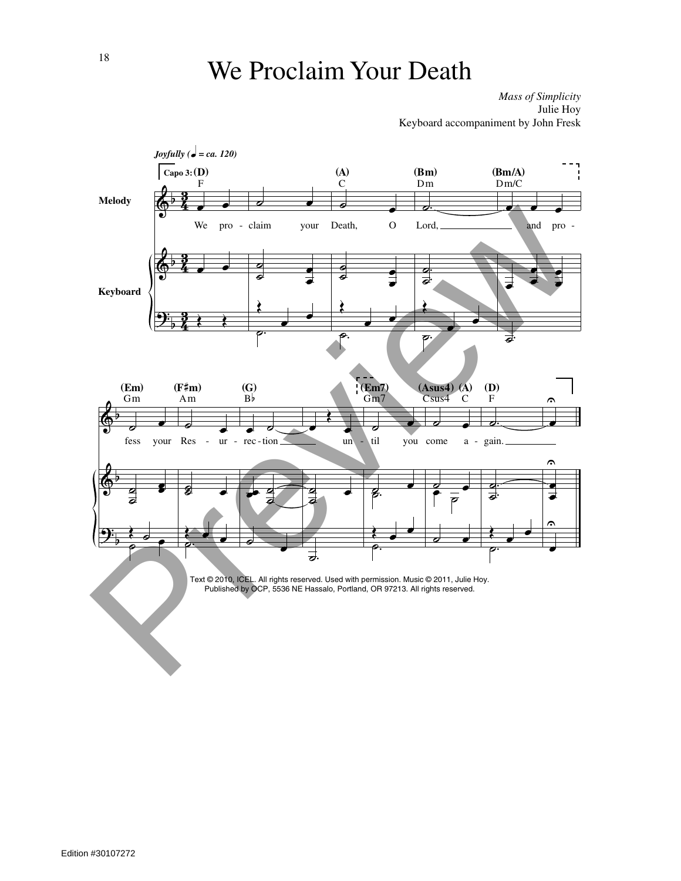### We Proclaim Your Death

*Mass of Simplicity* Julie Hoy Keyboard accompaniment by John Fresk

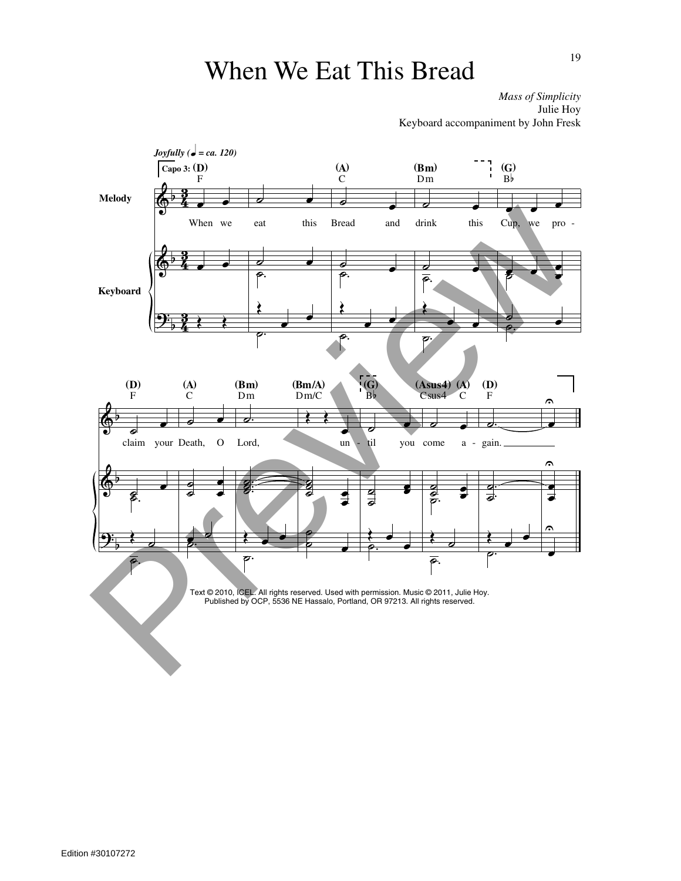### When We Eat This Bread

*Mass of Simplicity* Julie Hoy Keyboard accompaniment by John Fresk



19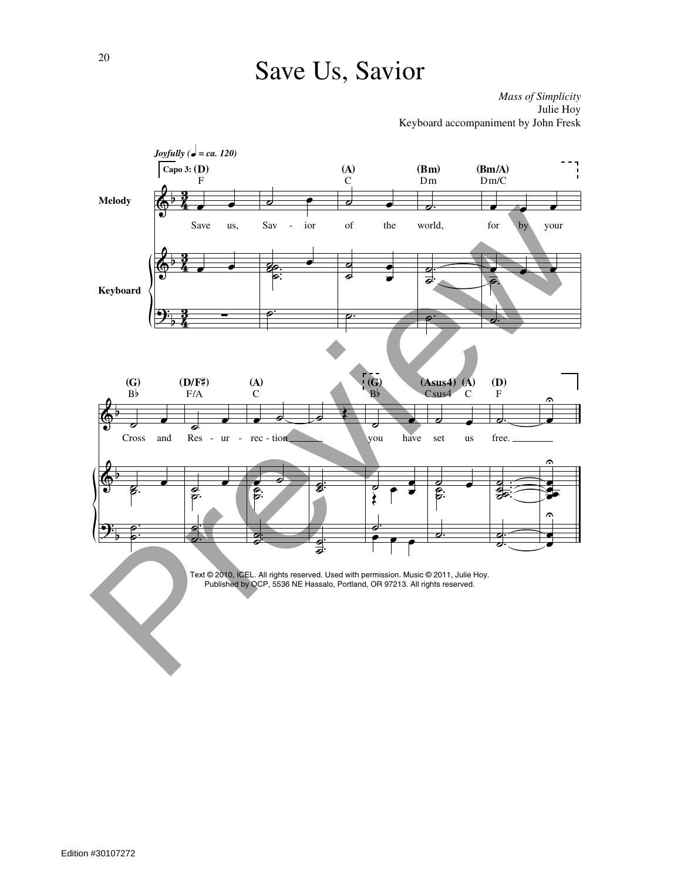# Save Us, Savior

*Mass of Simplicity* Julie Hoy Keyboard accompaniment by John Fresk

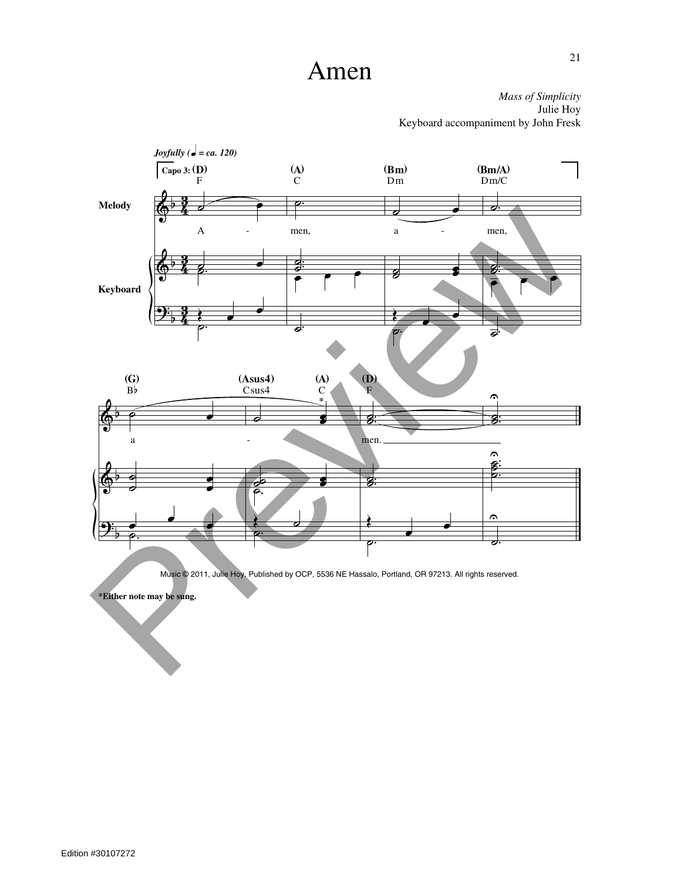# Amen

*Mass of Simplicity* Julie Hoy Keyboard accompaniment by John Fresk



Music © 2011, Julie Hoy. Published by OCP, 5536 NE Hassalo, Portland, OR 97213. All rights reserved.

**\*Either note may be sung.**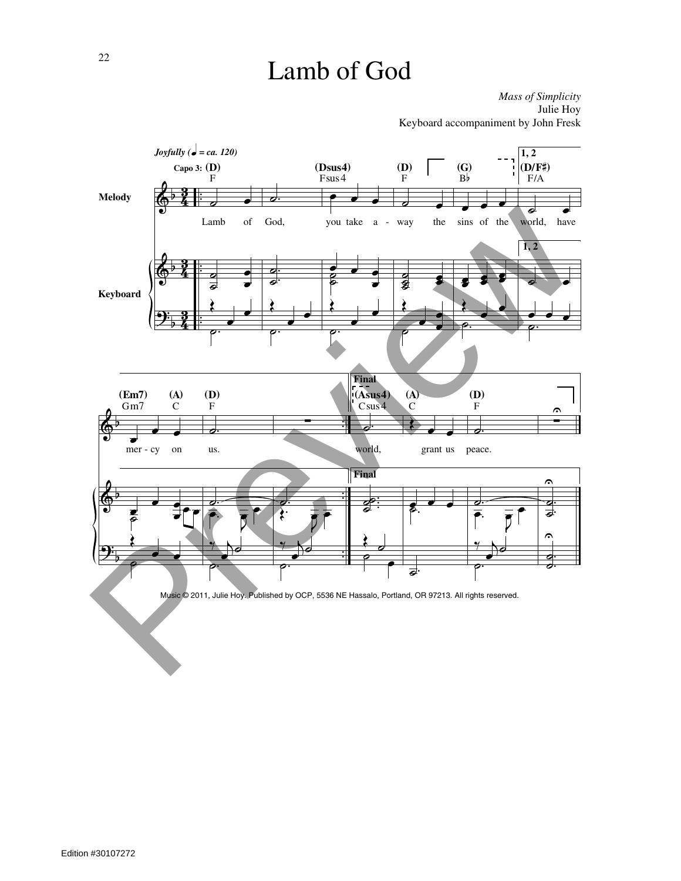# Lamb of God

*Mass of Simplicity* Julie Hoy Keyboard accompaniment by John Fresk

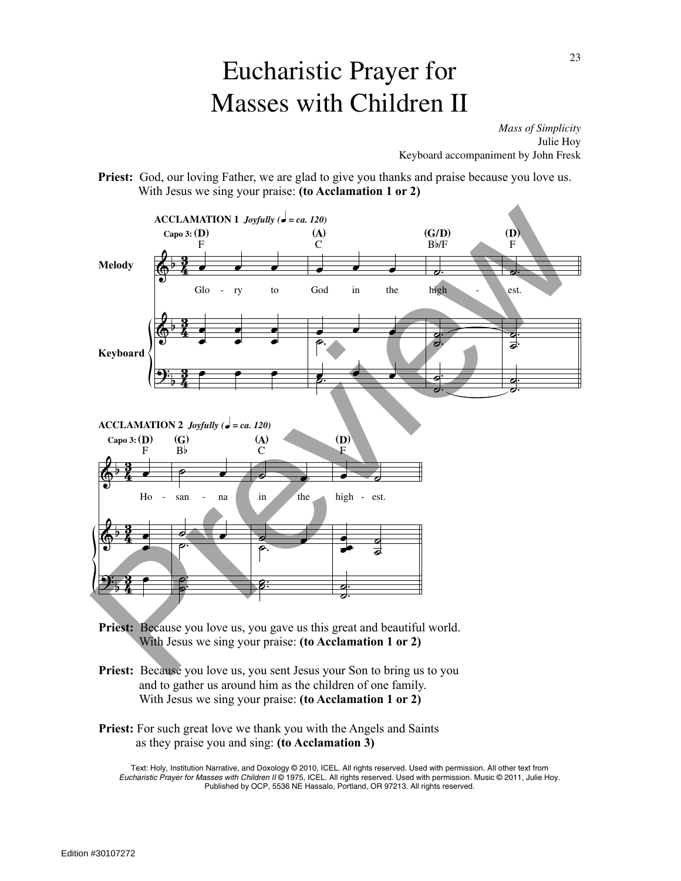# Eucharistic Prayer for Masses with Children II

*Mass of Simplicity* Julie Hoy Keyboard accompaniment by John Fresk

**Priest:** God, our loving Father, we are glad to give you thanks and praise because you love us. With Jesus we sing your praise: **(to Acclamation 1 or 2)**



- Priest: Because you love us, you sent Jesus your Son to bring us to you and to gather us around him as the children of one family. With Jesus we sing your praise: **(to Acclamation 1 or 2)**
- **Priest:** For such great love we thank you with the Angels and Saints as they praise you and sing: **(to Acclamation 3)**

Text: Holy, Institution Narrative, and Doxology © 2010, ICEL. All rights reserved. Used with permission. All other text from *Eucharistic Prayer for Masses with Children II* © 1975, ICEL. All rights reserved. Used with permission. Music © 2011, Julie Hoy. Published by OCP, 5536 NE Hassalo, Portland, OR 97213. All rights reserved.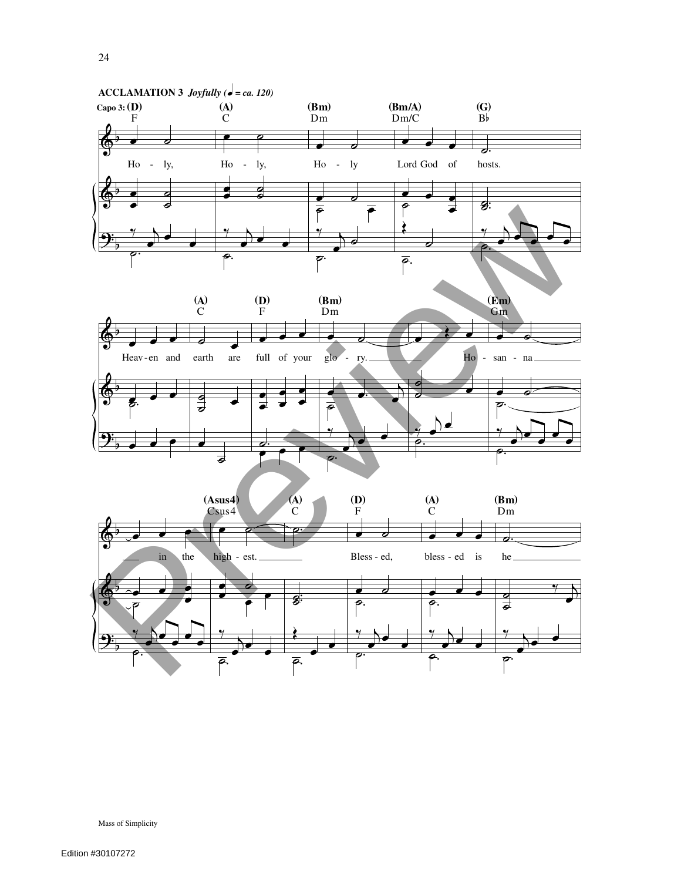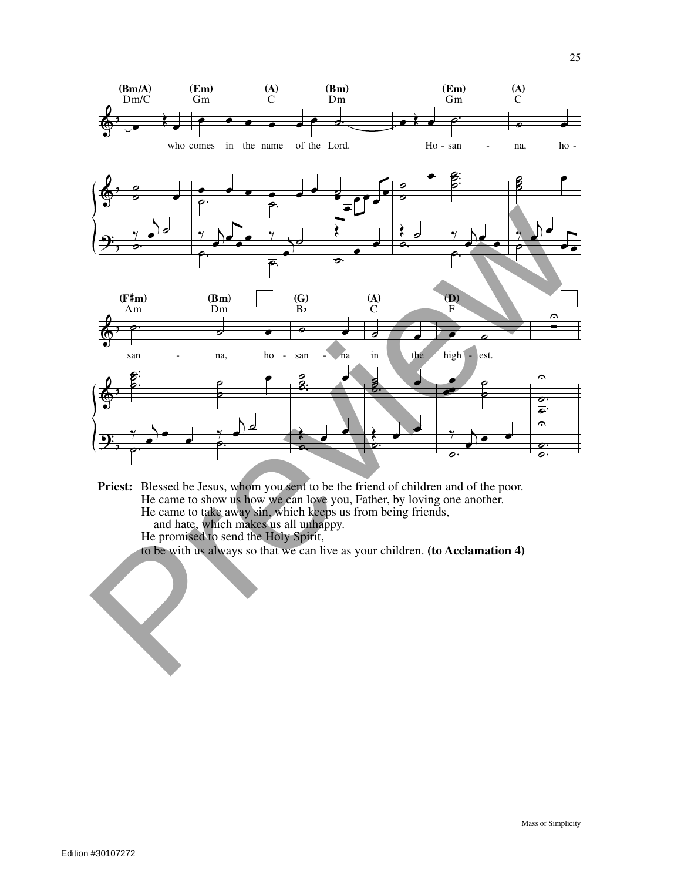

**Priest:** Blessed be Jesus, whom you sent to be the friend of children and of the poor. He came to show us how we can love you, Father, by loving one another. He came to take away sin, which keeps us from being friends, and hate, which makes us all unhappy. He promised to send the Holy Spirit,

to be with us always so that we can live as your children. **(to Acclamation 4)**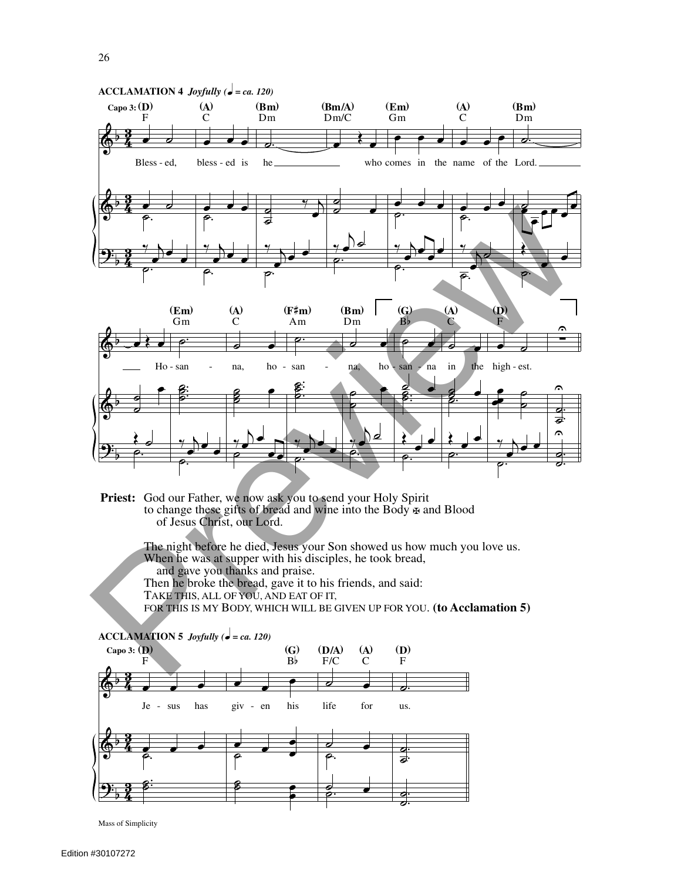



 The night before he died, Jesus your Son showed us how much you love us. When he was at supper with his disciples, he took bread, and gave you thanks and praise. Then he broke the bread, gave it to his friends, and said:

 TAKE THIS, ALL OF YOU, AND EAT OF IT, FOR THIS IS MY BODY, WHICH WILL BE GIVEN UP FOR YOU. **(to Acclamation 5)**



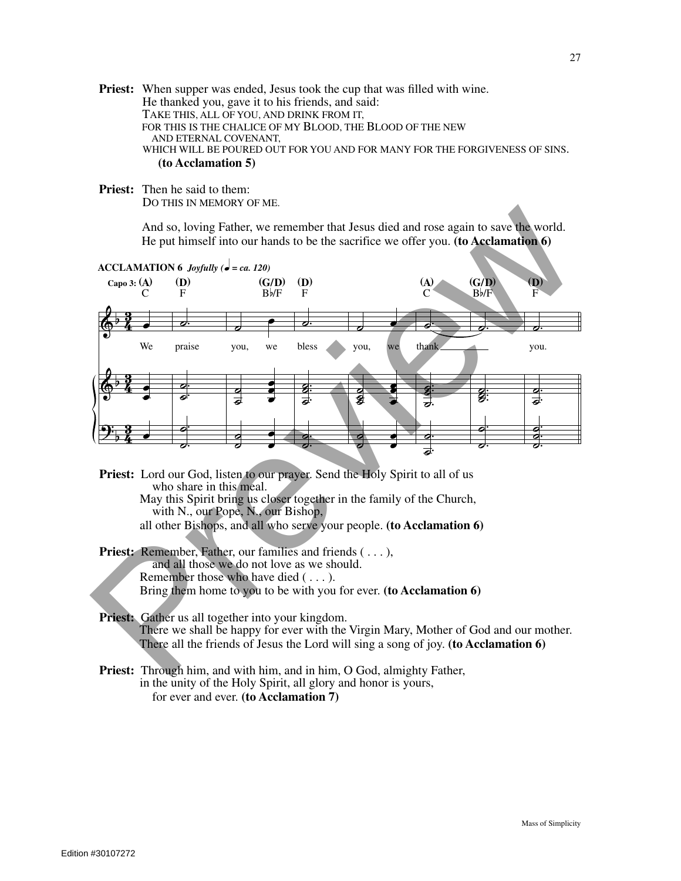- **Priest:** When supper was ended, Jesus took the cup that was filled with wine. He thanked you, gave it to his friends, and said: TAKE THIS, ALL OF YOU, AND DRINK FROM IT, FOR THIS IS THE CHALICE OF MY BLOOD, THE BLOOD OF THE NEW AND ETERNAL COVENANT, WHICH WILL BE POURED OUT FOR YOU AND FOR MANY FOR THE FORGIVENESS OF SINS. **(to Acclamation 5)**
- Priest: Then he said to them: DO THIS IN MEMORY OF ME.

And so, loving Father, we remember that Jesus died and rose again to save the world.



- Priest: Lord our God, listen to our prayer. Send the Holy Spirit to all of us who share in this meal. May this Spirit bring us closer together in the family of the Church, with N., our Pope, N., our Bishop, all other Bishops, and all who serve your people. **(to Acclamation 6)**
- **Priest:** Remember, Father, our families and friends (...), and all those we do not love as we should. Remember those who have died  $( \ldots )$ . Bring them home to you to be with you for ever. **(to Acclamation 6)**
- Priest: Gather us all together into your kingdom. There we shall be happy for ever with the Virgin Mary, Mother of God and our mother. There all the friends of Jesus the Lord will sing a song of joy. **(to Acclamation 6)**
- **Priest:** Through him, and with him, and in him, O God, almighty Father, in the unity of the Holy Spirit, all glory and honor is yours, for ever and ever. **(to Acclamation 7)**